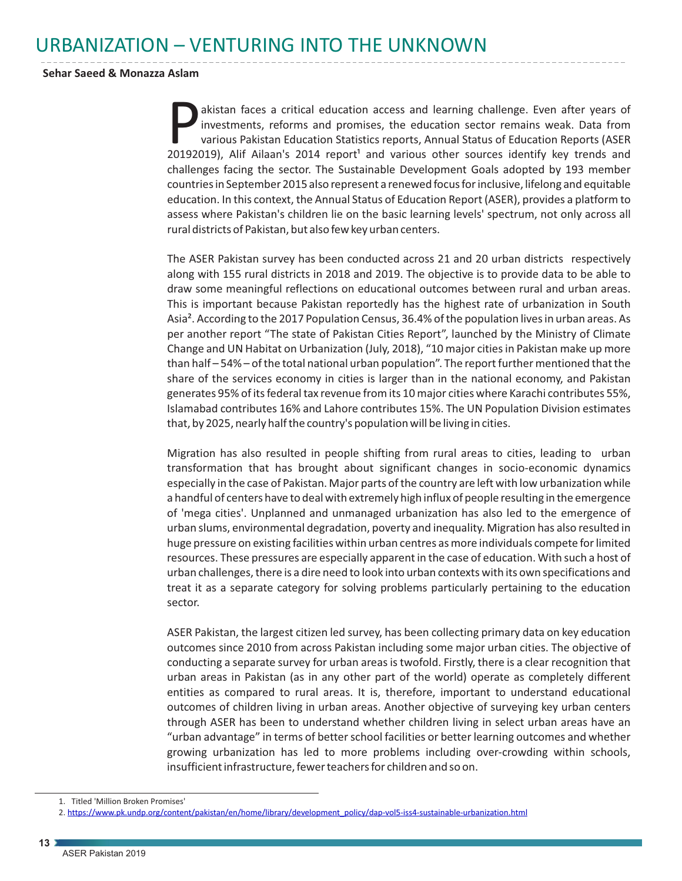## URBANIZATION – VENTURING INTO THE UNKNOWN

## **Sehar Saeed & Monazza Aslam**

akistan faces a critical education access and learning challenge. Even after years of investments, reforms and promises, the education sector remains weak. Data from various Pakistan Education Statistics reports, Annual St various Pakistan Education Statistics reports, Annual Status of Education Reports (ASER  $20192019$ ), Alif Ailaan's  $2014$  report<sup>1</sup> and various other sources identify key trends and challenges facing the sector. The Sustainable Development Goals adopted by 193 member countries in September 2015 also represent a renewed focus for inclusive, lifelong and equitable education. In this context, the Annual Status of Education Report (ASER), provides a platform to assess where Pakistan's children lie on the basic learning levels' spectrum, not only across all rural districts of Pakistan, but also few key urban centers.

The ASER Pakistan survey has been conducted across 21 and 20 urban districts respectively along with 155 rural districts in 2018 and 2019. The objective is to provide data to be able to draw some meaningful reflections on educational outcomes between rural and urban areas. This is important because Pakistan reportedly has the highest rate of urbanization in South Asia². According to the 2017 Population Census, 36.4% of the population lives in urban areas. As per another report "The state of Pakistan Cities Report", launched by the Ministry of Climate Change and UN Habitat on Urbanization (July, 2018), "10 major cities in Pakistan make up more than half – 54% – of the total national urban population". The report further mentioned that the share of the services economy in cities is larger than in the national economy, and Pakistan generates 95% of its federal tax revenue from its 10 major cities where Karachi contributes 55%, Islamabad contributes 16% and Lahore contributes 15%. The UN Population Division estimates that, by 2025, nearly half the country's population will be living in cities.

Migration has also resulted in people shifting from rural areas to cities, leading to urban transformation that has brought about significant changes in socio-economic dynamics especially in the case of Pakistan. Major parts of the country are left with low urbanization while a handful of centers have to deal with extremely high influx of people resulting in the emergence of 'mega cities'. Unplanned and unmanaged urbanization has also led to the emergence of urban slums, environmental degradation, poverty and inequality. Migration has also resulted in huge pressure on existing facilities within urban centres as more individuals compete for limited resources. These pressures are especially apparent in the case of education. With such a host of urban challenges, there is a dire need to look into urban contexts with its own specifications and treat it as a separate category for solving problems particularly pertaining to the education sector.

ASER Pakistan, the largest citizen led survey, has been collecting primary data on key education outcomes since 2010 from across Pakistan including some major urban cities. The objective of conducting a separate survey for urban areas is twofold. Firstly, there is a clear recognition that urban areas in Pakistan (as in any other part of the world) operate as completely different entities as compared to rural areas. It is, therefore, important to understand educational outcomes of children living in urban areas. Another objective of surveying key urban centers through ASER has been to understand whether children living in select urban areas have an "urban advantage" in terms of better school facilities or better learning outcomes and whether growing urbanization has led to more problems including over-crowding within schools, insufficient infrastructure, fewer teachers for children and so on.

<sup>1.</sup> Titled 'Million Broken Promises'

<sup>2.</sup> [https://www.pk.undp.org/content/pakistan/en/home/library/development\\_policy/dap-vol5-iss4-sustainable-urbanization.html](https://www.pk.undp.org/content/pakistan/en/home/library/development_policy/dap-vol5-iss4-sustainable-urbanization.html)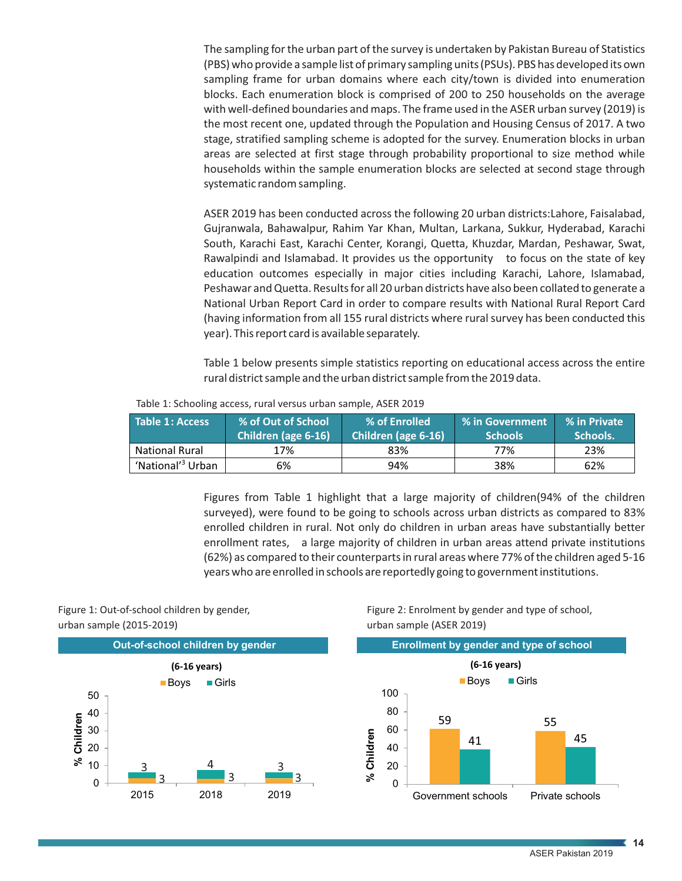The sampling for the urban part of the survey is undertaken by Pakistan Bureau of Statistics (PBS) who provide a sample list of primary sampling units (PSUs). PBS has developed its own sampling frame for urban domains where each city/town is divided into enumeration blocks. Each enumeration block is comprised of 200 to 250 households on the average with well-defined boundaries and maps. The frame used in the ASER urban survey (2019) is the most recent one, updated through the Population and Housing Census of 2017. A two stage, stratified sampling scheme is adopted for the survey. Enumeration blocks in urban areas are selected at first stage through probability proportional to size method while households within the sample enumeration blocks are selected at second stage through systematic random sampling.

ASER 2019 has been conducted across the following 20 urban districts:Lahore, Faisalabad, Gujranwala, Bahawalpur, Rahim Yar Khan, Multan, Larkana, Sukkur, Hyderabad, Karachi South, Karachi East, Karachi Center, Korangi, Quetta, Khuzdar, Mardan, Peshawar, Swat, Rawalpindi and Islamabad. It provides us the opportunity to focus on the state of key education outcomes especially in major cities including Karachi, Lahore, Islamabad, Peshawar and Quetta. Results for all 20 urban districts have also been collated to generate a National Urban Report Card in order to compare results with National Rural Report Card (having information from all 155 rural districts where rural survey has been conducted this year). This report card is available separately.

Table 1 below presents simple statistics reporting on educational access across the entire rural district sample and the urban district sample from the 2019 data.

Table 1: Schooling access, rural versus urban sample, ASER 2019

| Table 1: Access               | % of Out of School  | % of Enrolled       | $^\circ$ % in Government | % in Private |
|-------------------------------|---------------------|---------------------|--------------------------|--------------|
|                               | Children (age 6-16) | Children (age 6-16) | <b>Schools</b>           | Schools.     |
| <b>National Rural</b>         | 17%                 | 83%                 | 77%                      | 23%          |
| 'National' <sup>3</sup> Urban | 6%                  | 94%                 | 38%                      | 62%          |

Figures from Table 1 highlight that a large majority of children(94% of the children surveyed), were found to be going to schools across urban districts as compared to 83% enrolled children in rural. Not only do children in urban areas have substantially better enrollment rates, a large majority of children in urban areas attend private institutions (62%) as compared to their counterparts in rural areas where 77% of the children aged 5-16 years who are enrolled in schools are reportedly going to government institutions.

Figure 1: Out-of-school children by gender, urban sample (2015-2019)



Figure 2: Enrolment by gender and type of school, urban sample (ASER 2019)



ASER Pakistan 2019